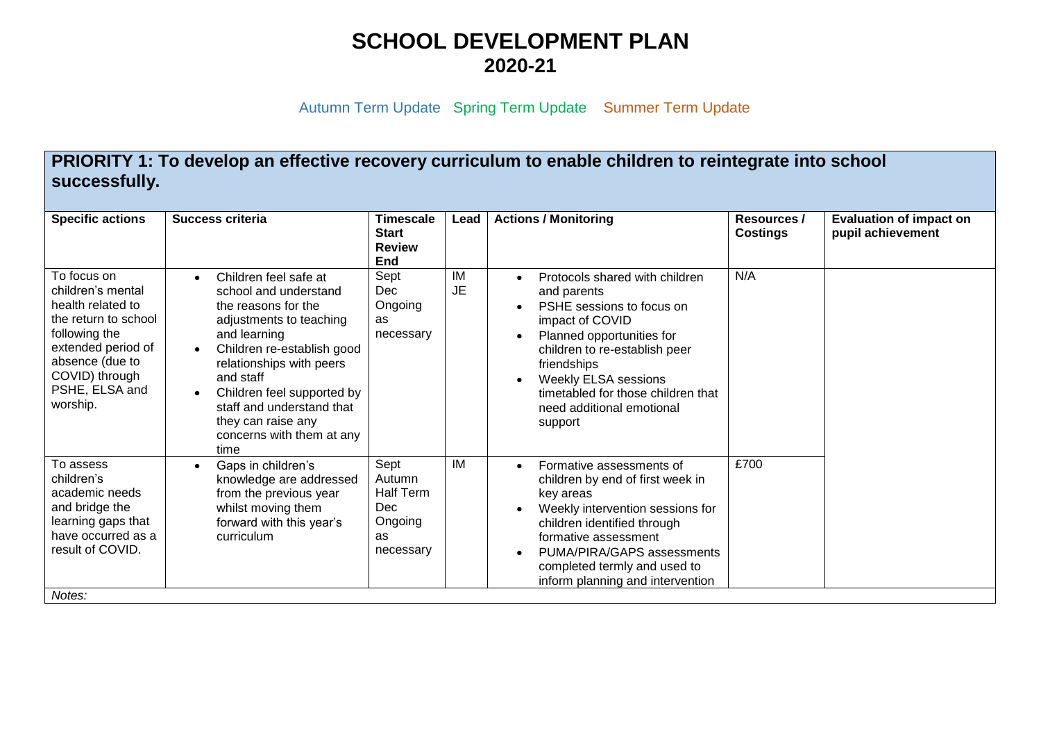## **SCHOOL DEVELOPMENT PLAN 2020-21**

Autumn Term Update Spring Term Update Summer Term Update

**PRIORITY 1: To develop an effective recovery curriculum to enable children to reintegrate into school successfully.**

| <b>Specific actions</b>                                                                                                                                                                 | Success criteria                                                                                                                                                                                                                                                                                              | <b>Timescale</b><br><b>Start</b><br><b>Review</b><br><b>End</b>         | Lead            | <b>Actions / Monitoring</b>                                                                                                                                                                                                                                                             | Resources /<br><b>Costings</b> | <b>Evaluation of impact on</b><br>pupil achievement |
|-----------------------------------------------------------------------------------------------------------------------------------------------------------------------------------------|---------------------------------------------------------------------------------------------------------------------------------------------------------------------------------------------------------------------------------------------------------------------------------------------------------------|-------------------------------------------------------------------------|-----------------|-----------------------------------------------------------------------------------------------------------------------------------------------------------------------------------------------------------------------------------------------------------------------------------------|--------------------------------|-----------------------------------------------------|
| To focus on<br>children's mental<br>health related to<br>the return to school<br>following the<br>extended period of<br>absence (due to<br>COVID) through<br>PSHE, ELSA and<br>worship. | Children feel safe at<br>school and understand<br>the reasons for the<br>adjustments to teaching<br>and learning<br>Children re-establish good<br>relationships with peers<br>and staff<br>Children feel supported by<br>staff and understand that<br>they can raise any<br>concerns with them at any<br>time | Sept<br><b>Dec</b><br>Ongoing<br>as<br>necessary                        | IM<br><b>JE</b> | Protocols shared with children<br>and parents<br>PSHE sessions to focus on<br>impact of COVID<br>Planned opportunities for<br>children to re-establish peer<br>friendships<br><b>Weekly ELSA sessions</b><br>timetabled for those children that<br>need additional emotional<br>support | N/A                            |                                                     |
| To assess<br>children's<br>academic needs<br>and bridge the<br>learning gaps that<br>have occurred as a<br>result of COVID.                                                             | Gaps in children's<br>knowledge are addressed<br>from the previous year<br>whilst moving them<br>forward with this year's<br>curriculum                                                                                                                                                                       | Sept<br>Autumn<br><b>Half Term</b><br>Dec<br>Ongoing<br>as<br>necessary | IM              | Formative assessments of<br>$\bullet$<br>children by end of first week in<br>key areas<br>Weekly intervention sessions for<br>children identified through<br>formative assessment<br>PUMA/PIRA/GAPS assessments<br>completed termly and used to<br>inform planning and intervention     | £700                           |                                                     |
| Notes:                                                                                                                                                                                  |                                                                                                                                                                                                                                                                                                               |                                                                         |                 |                                                                                                                                                                                                                                                                                         |                                |                                                     |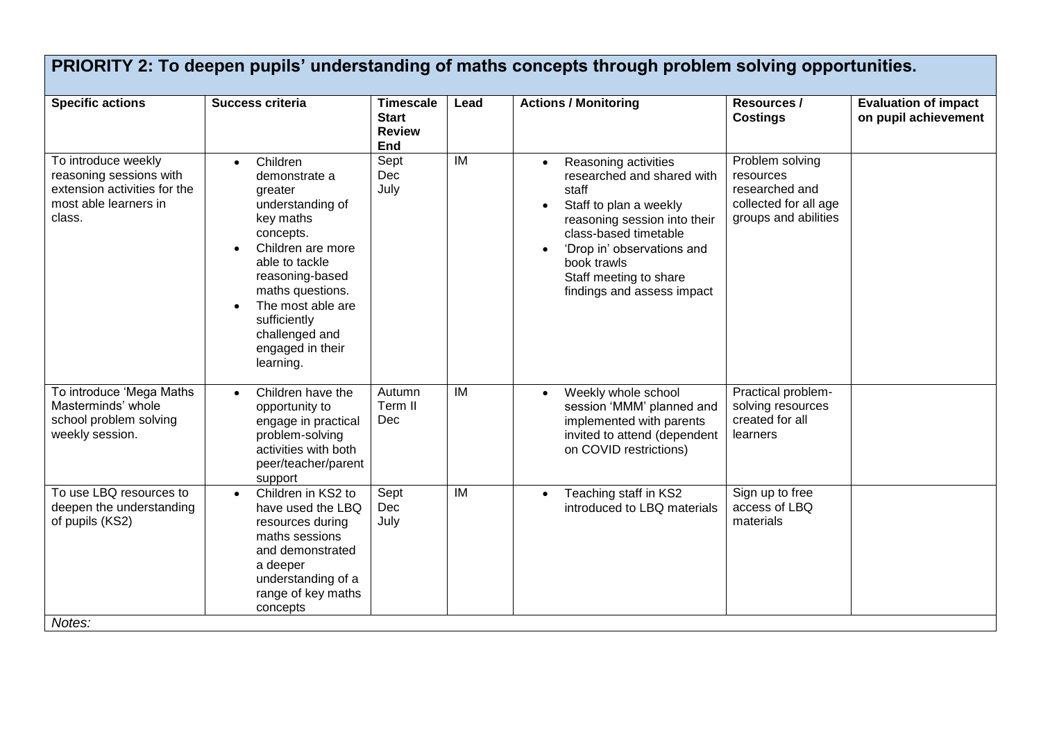| <b>Specific actions</b>                                                                                           | Success criteria                                                                                                                                                                                                                                                      | <b>Timescale</b><br><b>Start</b><br><b>Review</b><br>End | Lead | <b>Actions / Monitoring</b>                                                                                                                                                                                                                                      | Resources /<br><b>Costings</b>                                                                  | <b>Evaluation of impact</b><br>on pupil achievement |
|-------------------------------------------------------------------------------------------------------------------|-----------------------------------------------------------------------------------------------------------------------------------------------------------------------------------------------------------------------------------------------------------------------|----------------------------------------------------------|------|------------------------------------------------------------------------------------------------------------------------------------------------------------------------------------------------------------------------------------------------------------------|-------------------------------------------------------------------------------------------------|-----------------------------------------------------|
| To introduce weekly<br>reasoning sessions with<br>extension activities for the<br>most able learners in<br>class. | Children<br>$\bullet$<br>demonstrate a<br>greater<br>understanding of<br>key maths<br>concepts.<br>Children are more<br>able to tackle<br>reasoning-based<br>maths questions.<br>The most able are<br>sufficiently<br>challenged and<br>engaged in their<br>learning. | Sept<br>Dec<br>July                                      | IM   | Reasoning activities<br>$\bullet$<br>researched and shared with<br>staff<br>Staff to plan a weekly<br>reasoning session into their<br>class-based timetable<br>'Drop in' observations and<br>book trawls<br>Staff meeting to share<br>findings and assess impact | Problem solving<br>resources<br>researched and<br>collected for all age<br>groups and abilities |                                                     |
| To introduce 'Mega Maths<br>Masterminds' whole<br>school problem solving<br>weekly session.                       | Children have the<br>$\bullet$<br>opportunity to<br>engage in practical<br>problem-solving<br>activities with both<br>peer/teacher/parent<br>support                                                                                                                  | Autumn<br>Term II<br>Dec                                 | IM   | Weekly whole school<br>$\bullet$<br>session 'MMM' planned and<br>implemented with parents<br>invited to attend (dependent<br>on COVID restrictions)                                                                                                              | Practical problem-<br>solving resources<br>created for all<br>learners                          |                                                     |
| To use LBQ resources to<br>deepen the understanding<br>of pupils (KS2)<br>Notes:                                  | Children in KS2 to<br>$\bullet$<br>have used the LBQ<br>resources during<br>maths sessions<br>and demonstrated<br>a deeper<br>understanding of a<br>range of key maths<br>concepts                                                                                    | Sept<br>Dec<br>July                                      | IM   | Teaching staff in KS2<br>$\bullet$<br>introduced to LBQ materials                                                                                                                                                                                                | Sign up to free<br>access of LBQ<br>materials                                                   |                                                     |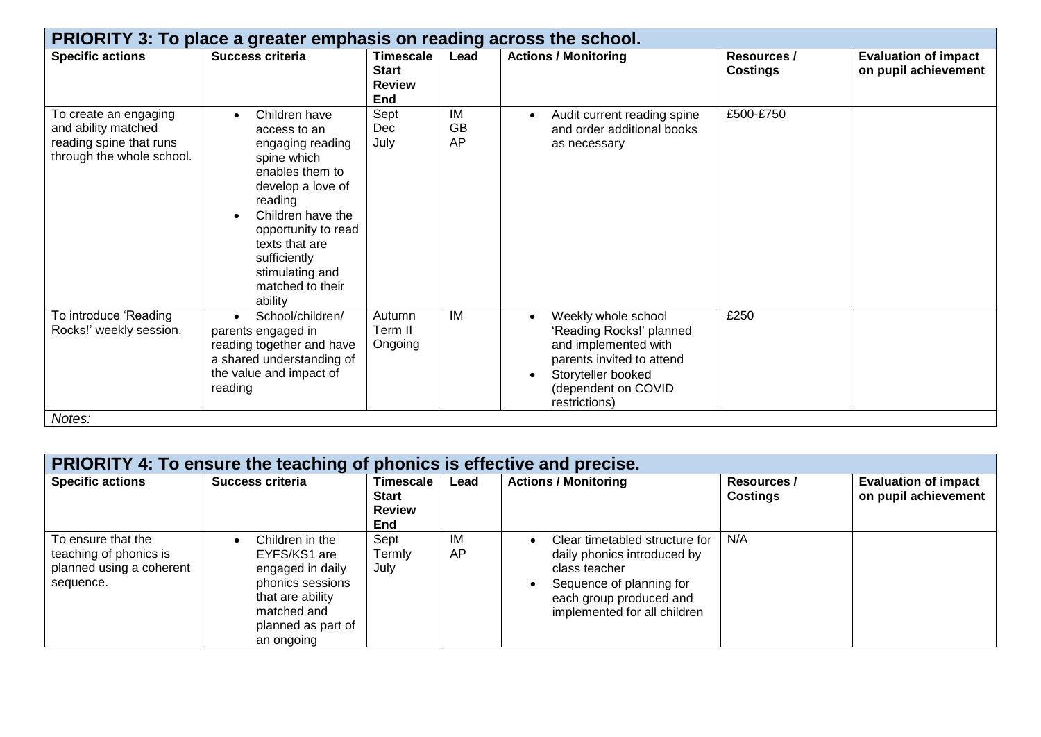| PRIORITY 3: To place a greater emphasis on reading across the school.                                |                                                                                                                                                                                                                                                                  |                                                          |                       |                                                                                                                                                                                 |                                       |                                                     |  |  |
|------------------------------------------------------------------------------------------------------|------------------------------------------------------------------------------------------------------------------------------------------------------------------------------------------------------------------------------------------------------------------|----------------------------------------------------------|-----------------------|---------------------------------------------------------------------------------------------------------------------------------------------------------------------------------|---------------------------------------|-----------------------------------------------------|--|--|
| <b>Specific actions</b>                                                                              | Success criteria                                                                                                                                                                                                                                                 | <b>Timescale</b><br><b>Start</b><br><b>Review</b><br>End | Lead                  | <b>Actions / Monitoring</b>                                                                                                                                                     | <b>Resources /</b><br><b>Costings</b> | <b>Evaluation of impact</b><br>on pupil achievement |  |  |
| To create an engaging<br>and ability matched<br>reading spine that runs<br>through the whole school. | Children have<br>$\bullet$<br>access to an<br>engaging reading<br>spine which<br>enables them to<br>develop a love of<br>reading<br>Children have the<br>opportunity to read<br>texts that are<br>sufficiently<br>stimulating and<br>matched to their<br>ability | Sept<br>Dec<br>July                                      | IM<br><b>GB</b><br>AP | Audit current reading spine<br>$\bullet$<br>and order additional books<br>as necessary                                                                                          | £500-£750                             |                                                     |  |  |
| To introduce 'Reading<br>Rocks!' weekly session.<br>Notes:                                           | School/children/<br>parents engaged in<br>reading together and have<br>a shared understanding of<br>the value and impact of<br>reading                                                                                                                           | Autumn<br>Term II<br>Ongoing                             | IM                    | Weekly whole school<br>$\bullet$<br>'Reading Rocks!' planned<br>and implemented with<br>parents invited to attend<br>Storyteller booked<br>(dependent on COVID<br>restrictions) | £250                                  |                                                     |  |  |

| <b>PRIORITY 4: To ensure the teaching of phonics is effective and precise.</b>        |                                                                                                                                                |                                                          |          |                                                                                                                                                                       |                                       |                                                     |  |  |
|---------------------------------------------------------------------------------------|------------------------------------------------------------------------------------------------------------------------------------------------|----------------------------------------------------------|----------|-----------------------------------------------------------------------------------------------------------------------------------------------------------------------|---------------------------------------|-----------------------------------------------------|--|--|
| <b>Specific actions</b>                                                               | <b>Success criteria</b>                                                                                                                        | Timescale<br><b>Start</b><br><b>Review</b><br><b>End</b> | Lead     | <b>Actions / Monitoring</b>                                                                                                                                           | <b>Resources /</b><br><b>Costings</b> | <b>Evaluation of impact</b><br>on pupil achievement |  |  |
| To ensure that the<br>teaching of phonics is<br>planned using a coherent<br>sequence. | Children in the<br>EYFS/KS1 are<br>engaged in daily<br>phonics sessions<br>that are ability<br>matched and<br>planned as part of<br>an ongoing | Sept<br>Termly<br>July                                   | IM<br>AP | Clear timetabled structure for<br>daily phonics introduced by<br>class teacher<br>Sequence of planning for<br>each group produced and<br>implemented for all children | N/A                                   |                                                     |  |  |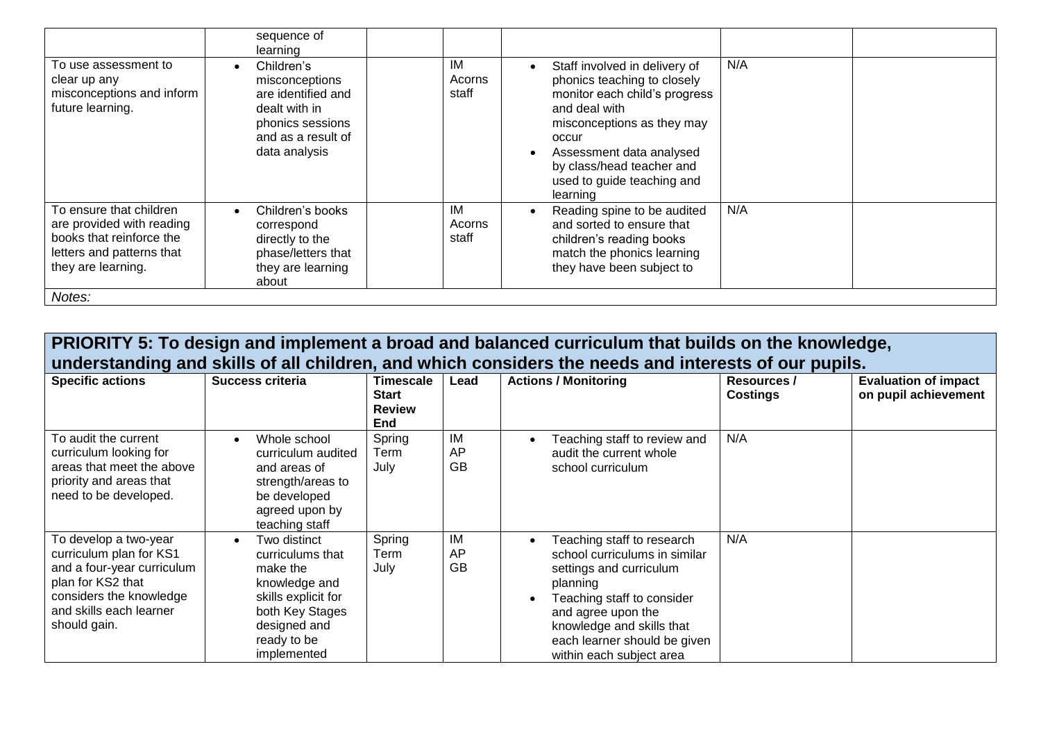|                                                                                                                                     | sequence of<br>learning                                                                                                        |                       |                                                                                                                                                                                                                                                          |     |  |
|-------------------------------------------------------------------------------------------------------------------------------------|--------------------------------------------------------------------------------------------------------------------------------|-----------------------|----------------------------------------------------------------------------------------------------------------------------------------------------------------------------------------------------------------------------------------------------------|-----|--|
| To use assessment to<br>clear up any<br>misconceptions and inform<br>future learning.                                               | Children's<br>misconceptions<br>are identified and<br>dealt with in<br>phonics sessions<br>and as a result of<br>data analysis | IM<br>Acorns<br>staff | Staff involved in delivery of<br>phonics teaching to closely<br>monitor each child's progress<br>and deal with<br>misconceptions as they may<br>occur<br>Assessment data analysed<br>by class/head teacher and<br>used to guide teaching and<br>learning | N/A |  |
| To ensure that children<br>are provided with reading<br>books that reinforce the<br>letters and patterns that<br>they are learning. | Children's books<br>correspond<br>directly to the<br>phase/letters that<br>they are learning<br>about                          | IM<br>Acorns<br>staff | Reading spine to be audited<br>and sorted to ensure that<br>children's reading books<br>match the phonics learning<br>they have been subject to                                                                                                          | N/A |  |
| Notes:                                                                                                                              |                                                                                                                                |                       |                                                                                                                                                                                                                                                          |     |  |

## **PRIORITY 5: To design and implement a broad and balanced curriculum that builds on the knowledge, understanding and skills of all children, and which considers the needs and interests of our pupils.**

| <b>Specific actions</b>                                                                                                                                                   | Success criteria                                                                                                                                      | Timescale<br><b>Start</b><br><b>Review</b><br>End | Lead           | <b>Actions / Monitoring</b>                                                                                                                                                                                                                     | <b>Resources /</b><br><b>Costings</b> | <b>Evaluation of impact</b><br>on pupil achievement |
|---------------------------------------------------------------------------------------------------------------------------------------------------------------------------|-------------------------------------------------------------------------------------------------------------------------------------------------------|---------------------------------------------------|----------------|-------------------------------------------------------------------------------------------------------------------------------------------------------------------------------------------------------------------------------------------------|---------------------------------------|-----------------------------------------------------|
| To audit the current<br>curriculum looking for<br>areas that meet the above<br>priority and areas that<br>need to be developed.                                           | Whole school<br>curriculum audited<br>and areas of<br>strength/areas to<br>be developed<br>agreed upon by<br>teaching staff                           | Spring<br>Term<br>July                            | ΙM<br>AP<br>GB | Teaching staff to review and<br>audit the current whole<br>school curriculum                                                                                                                                                                    | N/A                                   |                                                     |
| To develop a two-year<br>curriculum plan for KS1<br>and a four-year curriculum<br>plan for KS2 that<br>considers the knowledge<br>and skills each learner<br>should gain. | Two distinct<br>curriculums that<br>make the<br>knowledge and<br>skills explicit for<br>both Key Stages<br>designed and<br>ready to be<br>implemented | Spring<br>Term<br>July                            | IM<br>AP<br>GB | Teaching staff to research<br>school curriculums in similar<br>settings and curriculum<br>planning<br>Teaching staff to consider<br>and agree upon the<br>knowledge and skills that<br>each learner should be given<br>within each subject area | N/A                                   |                                                     |